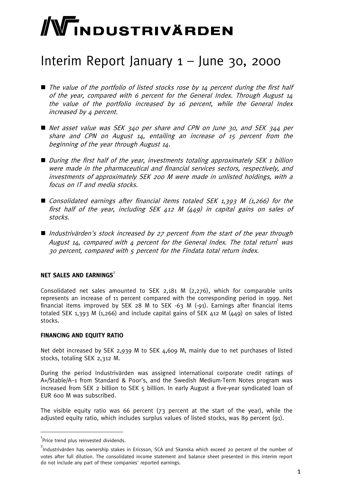# WINDUSTRIVÄRDEN

# Interim Report January 1 – June 30, 2000

- $\blacksquare$  The value of the portfolio of listed stocks rose by 14 percent during the first half of the year, compared with 6 percent for the General Index. Through August 14 the value of the portfolio increased by 16 percent, while the General Index increased by 4 percent.
- Net asset value was SEK 340 per share and CPN on June 30, and SEK 344 per share and CPN on August 14, entailing an increase of 15 percent from the beginning of the year through August 14.
- $\blacksquare$  During the first half of the year, investments totaling approximately SEK 1 billion were made in the pharmaceutical and financial services sectors, respectively, and investments of approximately SEK 200 M were made in unlisted holdings, with a focus on IT and media stocks.
- Consolidated earnings after financial items totaled SEK 1,393 M (1,266) for the first half of the year, including SEK 412 M (449) in capital gains on sales of stocks.
- Industrivärden's stock increased by  $27$  percent from the start of the year through August 14, compared with 4 percent for the General Index. The total return was 30 percent, compared with 5 percent for the Findata total return index.

#### **NET SALES AND EARNINGS<sup>2</sup>**

Consolidated net sales amounted to SEK 2,181 M (2,276), which for comparable units represents an increase of 11 percent compared with the corresponding period in 1999. Net financial items improved by SEK 28 M to SEK -63 M (-91). Earnings after financial items totaled SEK 1,393 M (1,266) and include capital gains of SEK 412 M (449) on sales of listed stocks.

#### **FINANCING AND EQUITY RATIO**

Net debt increased by SEK 2,939 M to SEK 4,609 M, mainly due to net purchases of listed stocks, totaling SEK 2,312 M.

During the period Industrivärden was assigned international corporate credit ratings of A+/Stable/A–1 from Standard & Poor's, and the Swedish Medium-Term Notes program was increased from SEK 2 billion to SEK 5 billion. In early August a five-year syndicated loan of EUR 600 M was subscribed.

The visible equity ratio was 66 percent (73 percent at the start of the year), while the adjusted equity ratio, which includes surplus values of listed stocks, was 89 percent (91).

 $^{1}$ Price trend plus reinvested dividends.

<sup>&</sup>lt;sup>2</sup><br>Industrivärden has ownership stakes in Ericsson, SCA and Skanska which exceed 20 percent of the number of votes after full dilution. The consolidated income statement and balance sheet presented in this interim report do not include any part of these companies' reported earnings.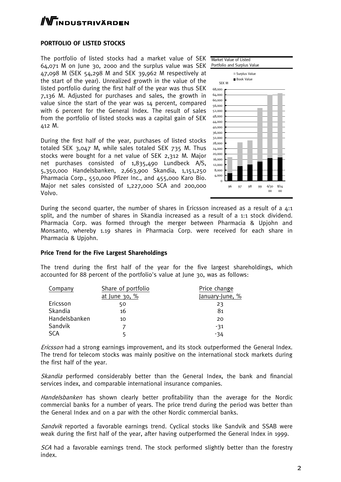# **TNDUSTRIVÄRDEN**

#### **PORTFOLIO OF LISTED STOCKS**

The portfolio of listed stocks had a market value of SEK 64,071 M on June 30, 2000 and the surplus value was SEK 47,098 M (SEK 54,298 M and SEK 39,962 M respectively at the start of the year). Unrealized growth in the value of the listed portfolio during the first half of the year was thus SEK 7,136 M. Adjusted for purchases and sales, the growth in value since the start of the year was 14 percent, compared with 6 percent for the General Index. The result of sales from the portfolio of listed stocks was a capital gain of SEK 412 M.

During the first half of the year, purchases of listed stocks totaled SEK 3,047 M, while sales totaled SEK 735 M. Thus stocks were bought for a net value of SEK 2,312 M. Major net purchases consisted of 1,835,490 Lundbeck A/S, 5,350,000 Handelsbanken, 2,663,900 Skandia, 1,151,250 Pharmacia Corp., 550,000 Pfizer Inc., and 455,000 Karo Bio. Major net sales consisted of 1,227,000 SCA and 200,000 Volvo.



During the second quarter, the number of shares in Ericsson increased as a result of a 4:1 split, and the number of shares in Skandia increased as a result of a 1:1 stock dividend. Pharmacia Corp. was formed through the merger between Pharmacia & Upjohn and Monsanto, whereby 1.19 shares in Pharmacia Corp. were received for each share in Pharmacia & Upjohn.

#### **Price Trend for the Five Largest Shareholdings**

The trend during the first half of the year for the five largest shareholdings, which accounted for 88 percent of the portfolio's value at June 30, was as follows:

| Company       | Share of portfolio | Price change    |
|---------------|--------------------|-----------------|
|               | at June $30, %$    | January-June, % |
| Ericsson      | 50                 | 23              |
| Skandia       | 16                 | 81              |
| Handelsbanken | 10                 | 20              |
| Sandvik       |                    | -31             |
| SCA           |                    | -34             |

Ericsson had a strong earnings improvement, and its stock outperformed the General Index. The trend for telecom stocks was mainly positive on the international stock markets during the first half of the year.

Skandia performed considerably better than the General Index, the bank and financial services index, and comparable international insurance companies.

Handelsbanken has shown clearly better profitability than the average for the Nordic commercial banks for a number of years. The price trend during the period was better than the General Index and on a par with the other Nordic commercial banks.

Sandvik reported a favorable earnings trend. Cyclical stocks like Sandvik and SSAB were weak during the first half of the year, after having outperformed the General Index in 1999.

SCA had a favorable earnings trend. The stock performed slightly better than the forestry index.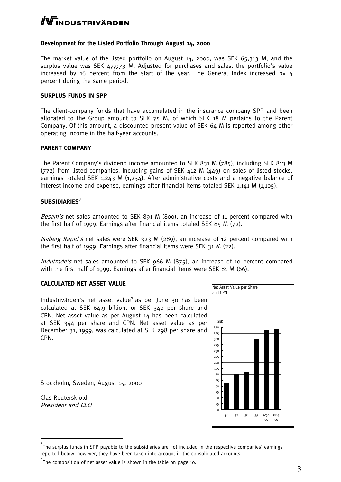# $\Gamma$ NDUSTRIVÄRDEN

#### **Development for the Listed Portfolio Through August 14, 2000**

The market value of the listed portfolio on August 14, 2000, was SEK 65,313 M, and the surplus value was SEK 47,973 M. Adjusted for purchases and sales, the portfolio's value increased by 16 percent from the start of the year. The General Index increased by 4 percent during the same period.

#### **SURPLUS FUNDS IN SPP**

The client-company funds that have accumulated in the insurance company SPP and been allocated to the Group amount to SEK 75 M, of which SEK 18 M pertains to the Parent Company. Of this amount, a discounted present value of SEK 64 M is reported among other operating income in the half-year accounts.

#### **PARENT COMPANY**

The Parent Company's dividend income amounted to SEK 831 M (785), including SEK 813 M (772) from listed companies. Including gains of SEK 412 M (449) on sales of listed stocks, earnings totaled SEK 1,243 M  $(1,234)$ . After administrative costs and a negative balance of interest income and expense, earnings after financial items totaled SEK 1,141 M (1,105).

#### **SUBSIDIARIES**<sup>3</sup>

Besam's net sales amounted to SEK 891 M (800), an increase of 11 percent compared with the first half of 1999. Earnings after financial items totaled SEK 85 M (72).

Isaberg Rapid's net sales were SEK 323 M (289), an increase of 12 percent compared with the first half of 1999. Earnings after financial items were SEK 31 M (22).

Indutrade's net sales amounted to SEK 966 M (875), an increase of 10 percent compared with the first half of 1999. Earnings after financial items were SEK 81 M (66).

#### **CALCULATED NET ASSET VALUE**

Industrivärden's net asset value<sup>4</sup> as per June 30 has been calculated at SEK 64.9 billion, or SEK 340 per share and CPN. Net asset value as per August 14 has been calculated at SEK 344 per share and CPN. Net asset value as per December 31, 1999, was calculated at SEK 298 per share and CPN.

Stockholm, Sweden, August 15, 2000

Clas Reuterskiöld President and CEO



 $3$ The surplus funds in SPP payable to the subsidiaries are not included in the respective companies' earnings reported below, however, they have been taken into account in the consolidated accounts.

 $4$ The composition of net asset value is shown in the table on page 10.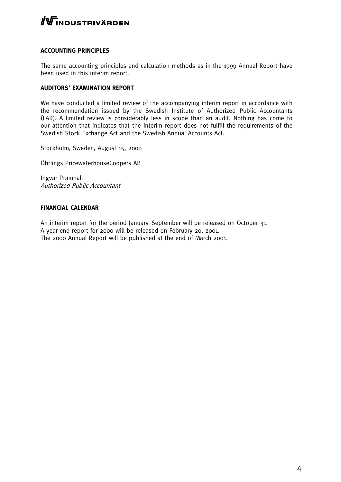

#### **ACCOUNTING PRINCIPLES**

The same accounting principles and calculation methods as in the 1999 Annual Report have been used in this interim report.

#### **AUDITORS' EXAMINATION REPORT**

We have conducted a limited review of the accompanying interim report in accordance with the recommendation issued by the Swedish Institute of Authorized Public Accountants (FAR). A limited review is considerably less in scope than an audit. Nothing has come to our attention that indicates that the interim report does not fulfill the requirements of the Swedish Stock Exchange Act and the Swedish Annual Accounts Act.

Stockholm, Sweden, August 15, 2000

Öhrlings PricewaterhouseCoopers AB

Ingvar Pramhäll Authorized Public Accountant

#### **FINANCIAL CALENDAR**

An interim report for the period January–September will be released on October 31. A year-end report for 2000 will be released on February 20, 2001. The 2000 Annual Report will be published at the end of March 2001.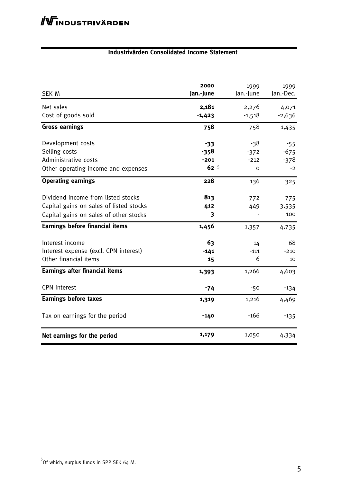### **Industrivärden Consolidated Income Statement**

| SEK M                                                                                                                   | 2000<br>Jan.-June                            | 1999<br>Jan.-June            | 1999<br>Jan.-Dec.                 |
|-------------------------------------------------------------------------------------------------------------------------|----------------------------------------------|------------------------------|-----------------------------------|
| Net sales<br>Cost of goods sold                                                                                         | 2,181<br>$-1,423$                            | 2,276<br>$-1,518$            | 4,071<br>$-2,636$                 |
| <b>Gross earnings</b>                                                                                                   | 758                                          | 758                          | 1,435                             |
| Development costs<br>Selling costs<br>Administrative costs<br>Other operating income and expenses                       | $-33$<br>$-358$<br>$-201$<br>62 <sup>5</sup> | -38<br>$-372$<br>$-212$<br>0 | $-55$<br>$-675$<br>$-378$<br>$-2$ |
| <b>Operating earnings</b>                                                                                               | 228                                          | 136                          | 325                               |
| Dividend income from listed stocks<br>Capital gains on sales of listed stocks<br>Capital gains on sales of other stocks | 813<br>412<br>3                              | 772<br>449                   | 775<br>3,535<br>100               |
| <b>Earnings before financial items</b>                                                                                  | 1,456                                        | 1,357                        | 4,735                             |
| Interest income<br>Interest expense (excl. CPN interest)<br>Other financial items                                       | 63<br>$-141$<br>15                           | 14<br>$-111$<br>6            | 68<br>$-210$<br>10                |
| <b>Earnings after financial items</b>                                                                                   | 1,393                                        | 1,266                        | 4,603                             |
| <b>CPN</b> interest                                                                                                     | $-74$                                        | $-50$                        | $-134$                            |
| <b>Earnings before taxes</b>                                                                                            | 1,319                                        | 1,216                        | 4,469                             |
| Tax on earnings for the period                                                                                          | $-140$                                       | $-166$                       | $-135$                            |
| Net earnings for the period                                                                                             | 1,179                                        | 1,050                        | 4,334                             |

<sup>&</sup>lt;sup>5</sup><br>Of which, surplus funds in SPP SEK 64 M.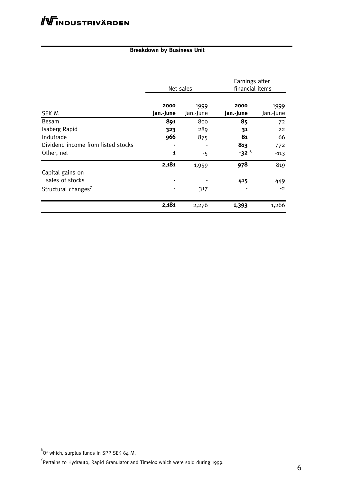## **Breakdown by Business Unit**

|                                     | Net sales         |                   | Earnings after<br>financial items |                   |
|-------------------------------------|-------------------|-------------------|-----------------------------------|-------------------|
| SEK M                               | 2000<br>Jan.-June | 1999<br>Jan.-June | 2000<br>Jan.-June                 | 1999<br>Jan.-June |
| Besam                               | 891               | 800               | 85                                | 72                |
| Isaberg Rapid                       | 323               | 289               | 31                                | 22                |
| Indutrade                           | 966               | 875               | 81                                | 66                |
| Dividend income from listed stocks  |                   |                   | 813                               | 772               |
| Other, net                          | $\mathbf{1}$      | -5                | $-32^{6}$                         | $-113$            |
|                                     | 2,181             | 1,959             | 978                               | 819               |
| Capital gains on<br>sales of stocks |                   |                   | 415                               | 449               |
| Structural changes <sup>7</sup>     |                   | 317               |                                   | $-2$              |
|                                     | 2,181             | 2,276             | 1,393                             | 1,266             |

 6 Of which, surplus funds in SPP SEK 64 M.

<sup>&</sup>lt;sup>7</sup><br>Pertains to Hydrauto, Rapid Granulator and Timelox which were sold during 1999.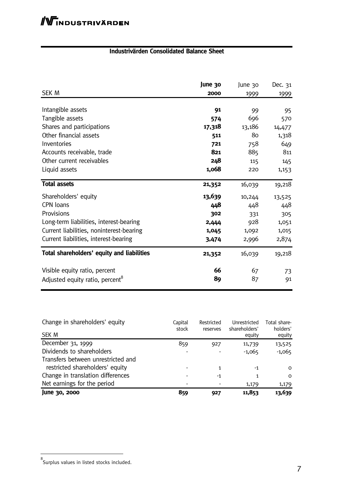## **Industrivärden Consolidated Balance Sheet**

| SEK M                                       | June 30<br>2000 | June 30<br>1999 | Dec. 31<br><u>1999</u> |
|---------------------------------------------|-----------------|-----------------|------------------------|
| Intangible assets                           | 91              | 99              | 95                     |
| Tangible assets                             | 574             | 696             | 570                    |
| Shares and participations                   | 17,318          | 13,186          | 14,477                 |
| Other financial assets                      | 511             | 80              | 1,318                  |
| Inventories                                 | 721             | 758             | 649                    |
| Accounts receivable, trade                  | 821             | 885             | 811                    |
| Other current receivables                   | 248             | 115             | 145                    |
| Liquid assets                               | 1,068           | 220             | 1,153                  |
| <b>Total assets</b>                         | 21,352          | 16,039          | 19,218                 |
| Shareholders' equity                        | 13,639          | 10,244          | 13,525                 |
| CPN loans                                   | 448             | 448             | 448                    |
| Provisions                                  | 302             | 331             | 305                    |
| Long-term liabilities, interest-bearing     | 2,444           | 928             | 1,051                  |
| Current liabilities, noninterest-bearing    | 1,045           | 1,092           | 1,015                  |
| Current liabilities, interest-bearing       | 3,474           | 2,996           | 2,874                  |
| Total shareholders' equity and liabilities  | 21,352          | 16,039          | 19,218                 |
| Visible equity ratio, percent               | 66              | 67              | 73                     |
| Adjusted equity ratio, percent <sup>8</sup> | 89              | 87              | 91                     |

| Change in shareholders' equity<br>SEK M | Capital<br>stock | Restricted<br>reserves | Unrestricted<br>shareholders' | Total share-<br>holders' |
|-----------------------------------------|------------------|------------------------|-------------------------------|--------------------------|
|                                         |                  |                        | equity                        | equity                   |
| December 31, 1999                       | 859              | 927                    | 11,739                        | 13,525                   |
| Dividends to shareholders               |                  |                        | $-1,065$                      | $-1,065$                 |
| Transfers between unrestricted and      |                  |                        |                               |                          |
| restricted shareholders' equity         |                  | 1                      | -1                            | $\Omega$                 |
| Change in translation differences       | -                | $-1$                   | 1                             | $\Omega$                 |
| Net earnings for the period             |                  |                        | 1,179                         | 1,179                    |
| June 30, 2000                           | 859              | 927                    | 11,853                        | 13,639                   |

<sup>&</sup>lt;sub>8</sub><br>Surplus values in listed stocks included.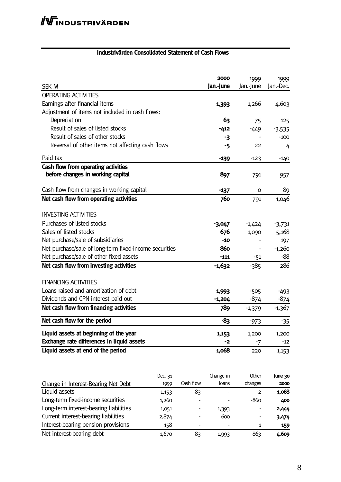#### **Industrivärden Consolidated Statement of Cash Flows**

|                                                        |         |           | 2000      | 1999      | 1999      |
|--------------------------------------------------------|---------|-----------|-----------|-----------|-----------|
| <b>SEK M</b>                                           |         |           | Jan.-June | Jan.-June | Jan.-Dec. |
| <b>OPERATING ACTIVITIES</b>                            |         |           |           |           |           |
| Earnings after financial items                         |         |           | 1,393     | 1,266     | 4,603     |
| Adjustment of items not included in cash flows:        |         |           |           |           |           |
| Depreciation                                           |         |           | 63        | 75        | 125       |
| Result of sales of listed stocks                       |         |           | $-412$    | $-449$    | $-3,535$  |
| Result of sales of other stocks                        |         |           | -3        |           | $-100$    |
| Reversal of other items not affecting cash flows       |         |           | -5        | 22        | 4         |
| Paid tax                                               |         |           | $-139$    | $-123$    | $-140$    |
| Cash flow from operating activities                    |         |           |           |           |           |
| before changes in working capital                      |         |           | 897       | 791       | 957       |
| Cash flow from changes in working capital              |         |           | $-137$    | 0         | 89        |
| Net cash flow from operating activities                |         |           | 760       | 791       | 1,046     |
|                                                        |         |           |           |           |           |
| <b>INVESTING ACTIVITIES</b>                            |         |           |           |           |           |
| Purchases of listed stocks                             |         |           | $-3,047$  | $-1,424$  | $-3,731$  |
| Sales of listed stocks                                 |         |           | 676       | 1,090     | 5,168     |
| Net purchase/sale of subsidiaries                      |         |           | $-10$     |           | 197       |
| Net purchase/sale of long-term fixed-income securities |         |           | 860       |           | $-1,260$  |
| Net purchase/sale of other fixed assets                |         |           | $-111$    | $-51$     | $-88$     |
| Net cash flow from investing activities                |         |           | -1,632    | $-385$    | 286       |
| <b>FINANCING ACTIVITIES</b>                            |         |           |           |           |           |
| Loans raised and amortization of debt                  |         |           | 1,993     | $-505$    | $-493$    |
| Dividends and CPN interest paid out                    |         |           | $-1,204$  | $-874$    | $-874$    |
| Net cash flow from financing activities                |         |           | 789       | $-1,379$  | $-1,367$  |
| Net cash flow for the period                           |         |           | -83       | $-973$    | $-35$     |
|                                                        |         |           |           |           |           |
| Liquid assets at beginning of the year                 |         |           | 1,153     | 1,200     | 1,200     |
| Exchange rate differences in liquid assets             |         |           | -2        | -7        | $-12$     |
| Liquid assets at end of the period                     |         |           | 1,068     | 220       | 1,153     |
|                                                        |         |           |           |           |           |
|                                                        | Dec. 31 |           | Change in | Other     | June 30   |
| Change in Interest-Bearing Net Debt                    | 1999    | Cash flow | loans     | changes   | 2000      |
| Liquid assets                                          | 1,153   | -83       |           | $-2$      | 1,068     |
| Long-term fixed-income securities                      | 1,260   |           |           | $-860$    | 400       |
|                                                        |         |           |           |           |           |

Long-term interest-bearing liabilities 1,051 - 1,393 - 2,444 Current interest-bearing liabilities 2,874 600 **3,474** Interest-bearing pension provisions 158 - 1 1 159 Net interest-bearing debt 1,670 83 1,993 863 4,609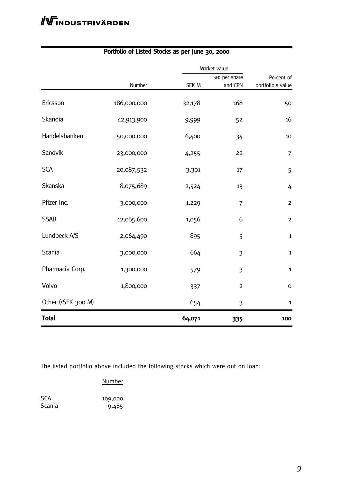|                                                                                                        |             |        | Market value            |                   |  |
|--------------------------------------------------------------------------------------------------------|-------------|--------|-------------------------|-------------------|--|
|                                                                                                        |             |        | SEK per share           | Percent of        |  |
|                                                                                                        | Number      | SEK M  | and CPN                 | portfolio's value |  |
| Ericsson                                                                                               | 186,000,000 | 32,178 | 168                     | 50                |  |
| Skandia                                                                                                | 42,913,900  | 9,999  | 52                      | 16                |  |
| Handelsbanken                                                                                          | 50,000,000  | 6,400  | 34                      | $10\,$            |  |
| Sandvik                                                                                                | 23,000,000  | 4,255  | 22                      | $\overline{7}$    |  |
| <b>SCA</b>                                                                                             | 20,087,532  | 3,301  | 17                      | 5                 |  |
| Skanska                                                                                                | 8,075,689   | 2,524  | 13                      | 4                 |  |
| Pfizer Inc.                                                                                            | 3,000,000   | 1,229  | $\overline{7}$          | $\overline{2}$    |  |
| <b>SSAB</b>                                                                                            | 12,065,600  | 1,056  | 6                       | $\overline{c}$    |  |
| Lundbeck A/S                                                                                           | 2,064,490   | 895    | 5                       | $\mathbf{1}$      |  |
| Scania                                                                                                 | 3,000,000   | 664    | 3                       | $\mathbf{1}$      |  |
| Pharmacia Corp.                                                                                        | 1,300,000   | 579    | $\overline{\mathbf{3}}$ | $\mathbf{1}$      |  |
| Volvo                                                                                                  | 1,800,000   | 337    | $\overline{2}$          | $\mathsf O$       |  |
| Other ( <sek 300="" m)<="" td=""><td></td><td>654</td><td>3</td><td><math>\mathbf{1}</math></td></sek> |             | 654    | 3                       | $\mathbf{1}$      |  |
| <b>Total</b>                                                                                           |             | 64,071 | 335                     | 100               |  |

# **Portfolio of Listed Stocks as per June 30, 2000**

The listed portfolio above included the following stocks which were out on loan:

### Number

SCA 109,000<br>Scania 9,485  $9,485$